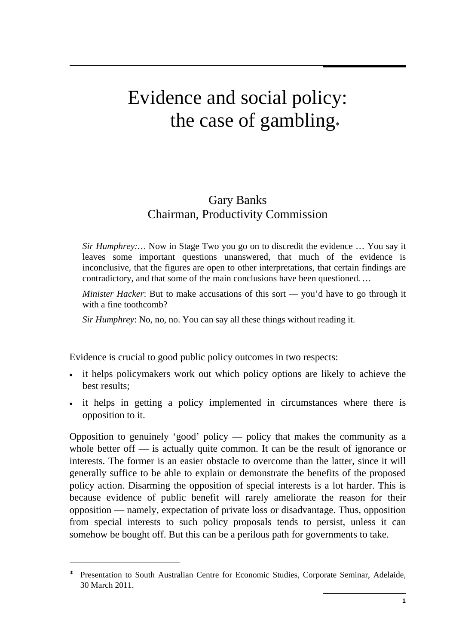# Evidence and social policy: the case of gambling<sup>∗</sup>

# Gary Banks Chairman, Productivity Commission

*Sir Humphrey:…* Now in Stage Two you go on to discredit the evidence … You say it leaves some important questions unanswered, that much of the evidence is inconclusive, that the figures are open to other interpretations, that certain findings are contradictory, and that some of the main conclusions have been questioned*. …* 

*Minister Hacker*: But to make accusations of this sort — you'd have to go through it with a fine toothcomb?

*Sir Humphrey*: No, no, no. You can say all these things without reading it.

Evidence is crucial to good public policy outcomes in two respects:

- it helps policymakers work out which policy options are likely to achieve the best results;
- it helps in getting a policy implemented in circumstances where there is opposition to it.

Opposition to genuinely 'good' policy — policy that makes the community as a whole better of  $\overline{a}$  is actually quite common. It can be the result of ignorance or interests. The former is an easier obstacle to overcome than the latter, since it will generally suffice to be able to explain or demonstrate the benefits of the proposed policy action. Disarming the opposition of special interests is a lot harder. This is because evidence of public benefit will rarely ameliorate the reason for their opposition — namely, expectation of private loss or disadvantage. Thus, opposition from special interests to such policy proposals tends to persist, unless it can somehow be bought off. But this can be a perilous path for governments to take.

Presentation to South Australian Centre for Economic Studies, Corporate Seminar, Adelaide, 30 March 2011.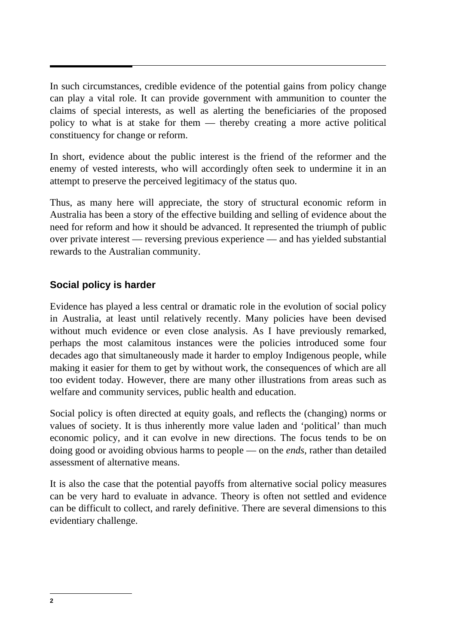In such circumstances, credible evidence of the potential gains from policy change can play a vital role. It can provide government with ammunition to counter the claims of special interests, as well as alerting the beneficiaries of the proposed policy to what is at stake for them — thereby creating a more active political constituency for change or reform.

In short, evidence about the public interest is the friend of the reformer and the enemy of vested interests, who will accordingly often seek to undermine it in an attempt to preserve the perceived legitimacy of the status quo.

Thus, as many here will appreciate, the story of structural economic reform in Australia has been a story of the effective building and selling of evidence about the need for reform and how it should be advanced. It represented the triumph of public over private interest — reversing previous experience — and has yielded substantial rewards to the Australian community.

# **Social policy is harder**

Evidence has played a less central or dramatic role in the evolution of social policy in Australia, at least until relatively recently. Many policies have been devised without much evidence or even close analysis. As I have previously remarked, perhaps the most calamitous instances were the policies introduced some four decades ago that simultaneously made it harder to employ Indigenous people, while making it easier for them to get by without work, the consequences of which are all too evident today. However, there are many other illustrations from areas such as welfare and community services, public health and education.

Social policy is often directed at equity goals, and reflects the (changing) norms or values of society. It is thus inherently more value laden and 'political' than much economic policy, and it can evolve in new directions. The focus tends to be on doing good or avoiding obvious harms to people — on the *ends*, rather than detailed assessment of alternative means.

It is also the case that the potential payoffs from alternative social policy measures can be very hard to evaluate in advance. Theory is often not settled and evidence can be difficult to collect, and rarely definitive. There are several dimensions to this evidentiary challenge.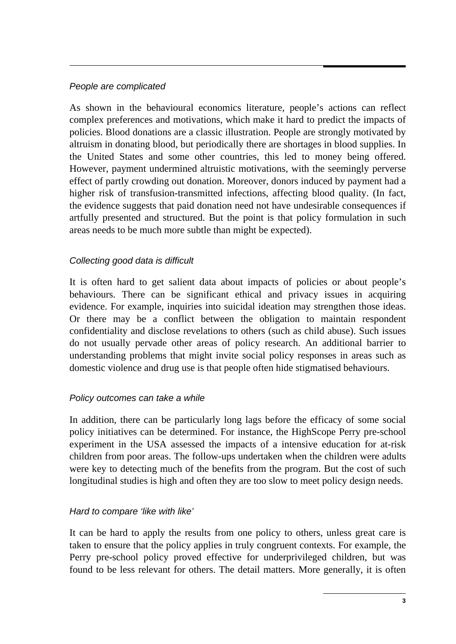#### *People are complicated*

As shown in the behavioural economics literature, people's actions can reflect complex preferences and motivations, which make it hard to predict the impacts of policies. Blood donations are a classic illustration. People are strongly motivated by altruism in donating blood, but periodically there are shortages in blood supplies. In the United States and some other countries, this led to money being offered. However, payment undermined altruistic motivations, with the seemingly perverse effect of partly crowding out donation. Moreover, donors induced by payment had a higher risk of transfusion-transmitted infections, affecting blood quality. (In fact, the evidence suggests that paid donation need not have undesirable consequences if artfully presented and structured. But the point is that policy formulation in such areas needs to be much more subtle than might be expected).

#### *Collecting good data is difficult*

It is often hard to get salient data about impacts of policies or about people's behaviours. There can be significant ethical and privacy issues in acquiring evidence. For example, inquiries into suicidal ideation may strengthen those ideas. Or there may be a conflict between the obligation to maintain respondent confidentiality and disclose revelations to others (such as child abuse). Such issues do not usually pervade other areas of policy research. An additional barrier to understanding problems that might invite social policy responses in areas such as domestic violence and drug use is that people often hide stigmatised behaviours.

#### *Policy outcomes can take a while*

In addition, there can be particularly long lags before the efficacy of some social policy initiatives can be determined. For instance, the HighScope Perry pre-school experiment in the USA assessed the impacts of a intensive education for at-risk children from poor areas. The follow-ups undertaken when the children were adults were key to detecting much of the benefits from the program. But the cost of such longitudinal studies is high and often they are too slow to meet policy design needs.

#### *Hard to compare 'like with like'*

It can be hard to apply the results from one policy to others, unless great care is taken to ensure that the policy applies in truly congruent contexts. For example, the Perry pre-school policy proved effective for underprivileged children, but was found to be less relevant for others. The detail matters. More generally, it is often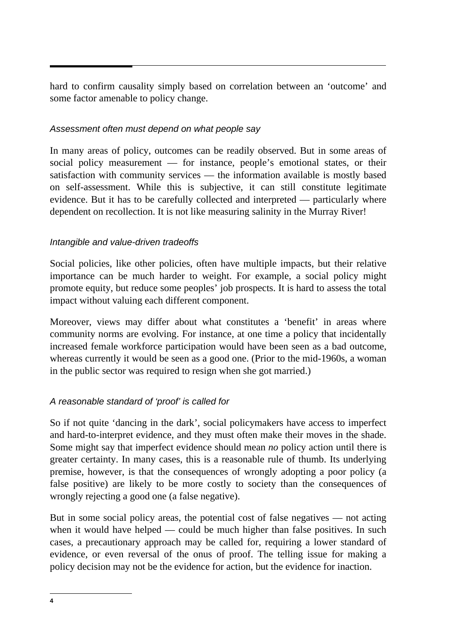hard to confirm causality simply based on correlation between an 'outcome' and some factor amenable to policy change.

## *Assessment often must depend on what people say*

In many areas of policy, outcomes can be readily observed. But in some areas of social policy measurement — for instance, people's emotional states, or their satisfaction with community services — the information available is mostly based on self-assessment. While this is subjective, it can still constitute legitimate evidence. But it has to be carefully collected and interpreted — particularly where dependent on recollection. It is not like measuring salinity in the Murray River!

## *Intangible and value-driven tradeoffs*

Social policies, like other policies, often have multiple impacts, but their relative importance can be much harder to weight. For example, a social policy might promote equity, but reduce some peoples' job prospects. It is hard to assess the total impact without valuing each different component.

Moreover, views may differ about what constitutes a 'benefit' in areas where community norms are evolving. For instance, at one time a policy that incidentally increased female workforce participation would have been seen as a bad outcome, whereas currently it would be seen as a good one. (Prior to the mid-1960s, a woman in the public sector was required to resign when she got married.)

# *A reasonable standard of 'proof' is called for*

So if not quite 'dancing in the dark', social policymakers have access to imperfect and hard-to-interpret evidence, and they must often make their moves in the shade. Some might say that imperfect evidence should mean *no* policy action until there is greater certainty. In many cases, this is a reasonable rule of thumb. Its underlying premise, however, is that the consequences of wrongly adopting a poor policy (a false positive) are likely to be more costly to society than the consequences of wrongly rejecting a good one (a false negative).

But in some social policy areas, the potential cost of false negatives — not acting when it would have helped — could be much higher than false positives. In such cases, a precautionary approach may be called for, requiring a lower standard of evidence, or even reversal of the onus of proof. The telling issue for making a policy decision may not be the evidence for action, but the evidence for inaction.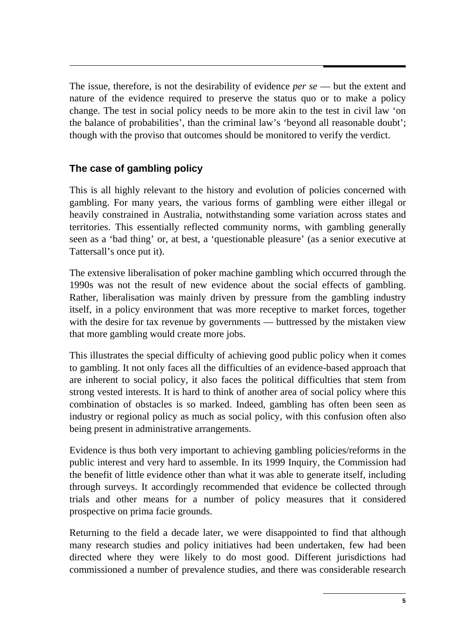The issue, therefore, is not the desirability of evidence *per se* — but the extent and nature of the evidence required to preserve the status quo or to make a policy change. The test in social policy needs to be more akin to the test in civil law 'on the balance of probabilities', than the criminal law's 'beyond all reasonable doubt'; though with the proviso that outcomes should be monitored to verify the verdict.

# **The case of gambling policy**

This is all highly relevant to the history and evolution of policies concerned with gambling. For many years, the various forms of gambling were either illegal or heavily constrained in Australia, notwithstanding some variation across states and territories. This essentially reflected community norms, with gambling generally seen as a 'bad thing' or, at best, a 'questionable pleasure' (as a senior executive at Tattersall's once put it).

The extensive liberalisation of poker machine gambling which occurred through the 1990s was not the result of new evidence about the social effects of gambling. Rather, liberalisation was mainly driven by pressure from the gambling industry itself, in a policy environment that was more receptive to market forces, together with the desire for tax revenue by governments — buttressed by the mistaken view that more gambling would create more jobs.

This illustrates the special difficulty of achieving good public policy when it comes to gambling. It not only faces all the difficulties of an evidence-based approach that are inherent to social policy, it also faces the political difficulties that stem from strong vested interests. It is hard to think of another area of social policy where this combination of obstacles is so marked. Indeed, gambling has often been seen as industry or regional policy as much as social policy, with this confusion often also being present in administrative arrangements.

Evidence is thus both very important to achieving gambling policies/reforms in the public interest and very hard to assemble. In its 1999 Inquiry, the Commission had the benefit of little evidence other than what it was able to generate itself, including through surveys. It accordingly recommended that evidence be collected through trials and other means for a number of policy measures that it considered prospective on prima facie grounds.

Returning to the field a decade later, we were disappointed to find that although many research studies and policy initiatives had been undertaken, few had been directed where they were likely to do most good. Different jurisdictions had commissioned a number of prevalence studies, and there was considerable research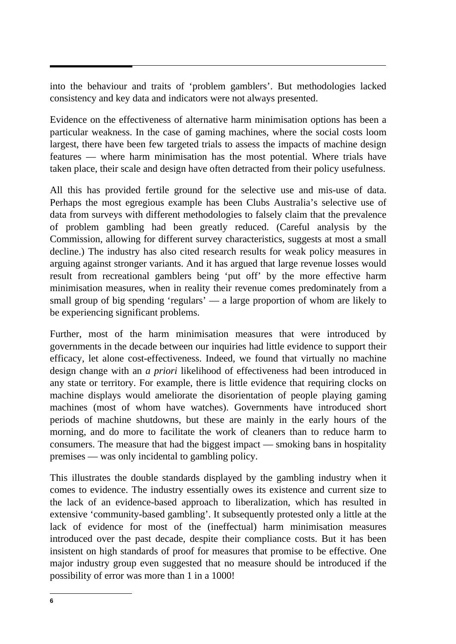into the behaviour and traits of 'problem gamblers'. But methodologies lacked consistency and key data and indicators were not always presented.

Evidence on the effectiveness of alternative harm minimisation options has been a particular weakness. In the case of gaming machines, where the social costs loom largest, there have been few targeted trials to assess the impacts of machine design features — where harm minimisation has the most potential. Where trials have taken place, their scale and design have often detracted from their policy usefulness.

All this has provided fertile ground for the selective use and mis-use of data. Perhaps the most egregious example has been Clubs Australia's selective use of data from surveys with different methodologies to falsely claim that the prevalence of problem gambling had been greatly reduced. (Careful analysis by the Commission, allowing for different survey characteristics, suggests at most a small decline.) The industry has also cited research results for weak policy measures in arguing against stronger variants. And it has argued that large revenue losses would result from recreational gamblers being 'put off' by the more effective harm minimisation measures, when in reality their revenue comes predominately from a small group of big spending 'regulars' — a large proportion of whom are likely to be experiencing significant problems.

Further, most of the harm minimisation measures that were introduced by governments in the decade between our inquiries had little evidence to support their efficacy, let alone cost-effectiveness. Indeed, we found that virtually no machine design change with an *a priori* likelihood of effectiveness had been introduced in any state or territory. For example, there is little evidence that requiring clocks on machine displays would ameliorate the disorientation of people playing gaming machines (most of whom have watches). Governments have introduced short periods of machine shutdowns, but these are mainly in the early hours of the morning, and do more to facilitate the work of cleaners than to reduce harm to consumers. The measure that had the biggest impact — smoking bans in hospitality premises — was only incidental to gambling policy.

This illustrates the double standards displayed by the gambling industry when it comes to evidence. The industry essentially owes its existence and current size to the lack of an evidence-based approach to liberalization, which has resulted in extensive 'community-based gambling'. It subsequently protested only a little at the lack of evidence for most of the (ineffectual) harm minimisation measures introduced over the past decade, despite their compliance costs. But it has been insistent on high standards of proof for measures that promise to be effective. One major industry group even suggested that no measure should be introduced if the possibility of error was more than 1 in a 1000!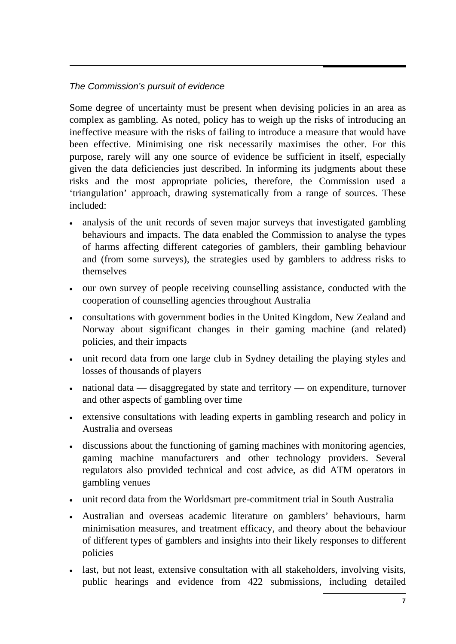## *The Commission's pursuit of evidence*

Some degree of uncertainty must be present when devising policies in an area as complex as gambling. As noted, policy has to weigh up the risks of introducing an ineffective measure with the risks of failing to introduce a measure that would have been effective. Minimising one risk necessarily maximises the other. For this purpose, rarely will any one source of evidence be sufficient in itself, especially given the data deficiencies just described. In informing its judgments about these risks and the most appropriate policies, therefore, the Commission used a 'triangulation' approach, drawing systematically from a range of sources. These included:

- analysis of the unit records of seven major surveys that investigated gambling behaviours and impacts. The data enabled the Commission to analyse the types of harms affecting different categories of gamblers, their gambling behaviour and (from some surveys), the strategies used by gamblers to address risks to themselves
- our own survey of people receiving counselling assistance, conducted with the cooperation of counselling agencies throughout Australia
- consultations with government bodies in the United Kingdom, New Zealand and Norway about significant changes in their gaming machine (and related) policies, and their impacts
- unit record data from one large club in Sydney detailing the playing styles and losses of thousands of players
- national data disaggregated by state and territory on expenditure, turnover and other aspects of gambling over time
- extensive consultations with leading experts in gambling research and policy in Australia and overseas
- discussions about the functioning of gaming machines with monitoring agencies, gaming machine manufacturers and other technology providers. Several regulators also provided technical and cost advice, as did ATM operators in gambling venues
- unit record data from the Worldsmart pre-commitment trial in South Australia
- • Australian and overseas academic literature on gamblers' behaviours, harm minimisation measures, and treatment efficacy, and theory about the behaviour of different types of gamblers and insights into their likely responses to different policies
- last, but not least, extensive consultation with all stakeholders, involving visits, public hearings and evidence from 422 submissions, including detailed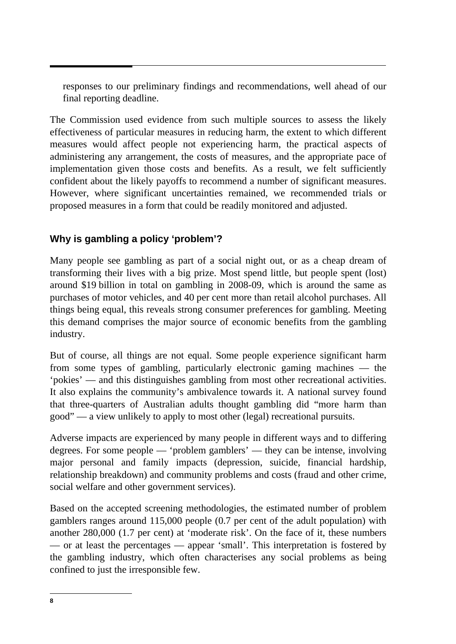responses to our preliminary findings and recommendations, well ahead of our final reporting deadline.

The Commission used evidence from such multiple sources to assess the likely effectiveness of particular measures in reducing harm, the extent to which different measures would affect people not experiencing harm, the practical aspects of administering any arrangement, the costs of measures, and the appropriate pace of implementation given those costs and benefits. As a result, we felt sufficiently confident about the likely payoffs to recommend a number of significant measures. However, where significant uncertainties remained, we recommended trials or proposed measures in a form that could be readily monitored and adjusted.

# **Why is gambling a policy 'problem'?**

Many people see gambling as part of a social night out, or as a cheap dream of transforming their lives with a big prize. Most spend little, but people spent (lost) around \$19 billion in total on gambling in 2008-09, which is around the same as purchases of motor vehicles, and 40 per cent more than retail alcohol purchases. All things being equal, this reveals strong consumer preferences for gambling. Meeting this demand comprises the major source of economic benefits from the gambling industry.

But of course, all things are not equal. Some people experience significant harm from some types of gambling, particularly electronic gaming machines — the 'pokies' — and this distinguishes gambling from most other recreational activities. It also explains the community's ambivalence towards it. A national survey found that three-quarters of Australian adults thought gambling did "more harm than good" — a view unlikely to apply to most other (legal) recreational pursuits.

Adverse impacts are experienced by many people in different ways and to differing degrees. For some people — 'problem gamblers' — they can be intense, involving major personal and family impacts (depression, suicide, financial hardship, relationship breakdown) and community problems and costs (fraud and other crime, social welfare and other government services).

Based on the accepted screening methodologies, the estimated number of problem gamblers ranges around 115,000 people (0.7 per cent of the adult population) with another 280,000 (1.7 per cent) at 'moderate risk'. On the face of it, these numbers — or at least the percentages — appear 'small'. This interpretation is fostered by the gambling industry, which often characterises any social problems as being confined to just the irresponsible few.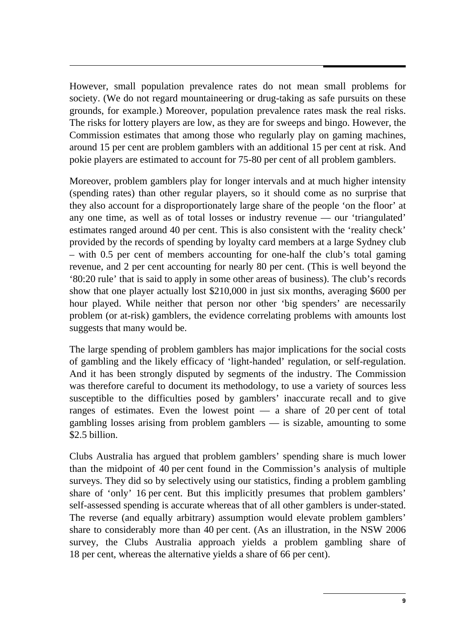However, small population prevalence rates do not mean small problems for society. (We do not regard mountaineering or drug-taking as safe pursuits on these grounds, for example.) Moreover, population prevalence rates mask the real risks. The risks for lottery players are low, as they are for sweeps and bingo. However, the Commission estimates that among those who regularly play on gaming machines, around 15 per cent are problem gamblers with an additional 15 per cent at risk. And pokie players are estimated to account for 75-80 per cent of all problem gamblers.

Moreover, problem gamblers play for longer intervals and at much higher intensity (spending rates) than other regular players, so it should come as no surprise that they also account for a disproportionately large share of the people 'on the floor' at any one time, as well as of total losses or industry revenue — our 'triangulated' estimates ranged around 40 per cent. This is also consistent with the 'reality check' provided by the records of spending by loyalty card members at a large Sydney club – with 0.5 per cent of members accounting for one-half the club's total gaming revenue, and 2 per cent accounting for nearly 80 per cent. (This is well beyond the '80:20 rule' that is said to apply in some other areas of business). The club's records show that one player actually lost \$210,000 in just six months, averaging \$600 per hour played. While neither that person nor other 'big spenders' are necessarily problem (or at-risk) gamblers, the evidence correlating problems with amounts lost suggests that many would be.

The large spending of problem gamblers has major implications for the social costs of gambling and the likely efficacy of 'light-handed' regulation, or self-regulation. And it has been strongly disputed by segments of the industry. The Commission was therefore careful to document its methodology, to use a variety of sources less susceptible to the difficulties posed by gamblers' inaccurate recall and to give ranges of estimates. Even the lowest point — a share of 20 per cent of total gambling losses arising from problem gamblers — is sizable, amounting to some \$2.5 billion.

Clubs Australia has argued that problem gamblers' spending share is much lower than the midpoint of 40 per cent found in the Commission's analysis of multiple surveys. They did so by selectively using our statistics, finding a problem gambling share of 'only' 16 per cent. But this implicitly presumes that problem gamblers' self-assessed spending is accurate whereas that of all other gamblers is under-stated. The reverse (and equally arbitrary) assumption would elevate problem gamblers' share to considerably more than 40 per cent. (As an illustration, in the NSW 2006 survey, the Clubs Australia approach yields a problem gambling share of 18 per cent, whereas the alternative yields a share of 66 per cent).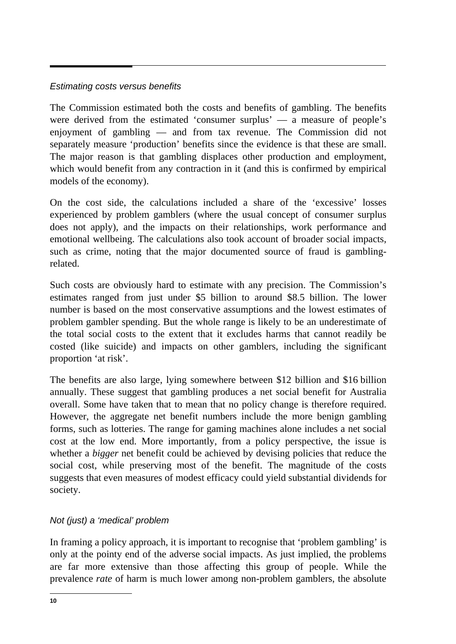#### *Estimating costs versus benefits*

The Commission estimated both the costs and benefits of gambling. The benefits were derived from the estimated 'consumer surplus' — a measure of people's enjoyment of gambling — and from tax revenue. The Commission did not separately measure 'production' benefits since the evidence is that these are small. The major reason is that gambling displaces other production and employment, which would benefit from any contraction in it (and this is confirmed by empirical models of the economy).

On the cost side, the calculations included a share of the 'excessive' losses experienced by problem gamblers (where the usual concept of consumer surplus does not apply), and the impacts on their relationships, work performance and emotional wellbeing. The calculations also took account of broader social impacts, such as crime, noting that the major documented source of fraud is gamblingrelated.

Such costs are obviously hard to estimate with any precision. The Commission's estimates ranged from just under \$5 billion to around \$8.5 billion. The lower number is based on the most conservative assumptions and the lowest estimates of problem gambler spending. But the whole range is likely to be an underestimate of the total social costs to the extent that it excludes harms that cannot readily be costed (like suicide) and impacts on other gamblers, including the significant proportion 'at risk'.

The benefits are also large, lying somewhere between \$12 billion and \$16 billion annually. These suggest that gambling produces a net social benefit for Australia overall. Some have taken that to mean that no policy change is therefore required. However, the aggregate net benefit numbers include the more benign gambling forms, such as lotteries. The range for gaming machines alone includes a net social cost at the low end. More importantly, from a policy perspective, the issue is whether a *bigger* net benefit could be achieved by devising policies that reduce the social cost, while preserving most of the benefit. The magnitude of the costs suggests that even measures of modest efficacy could yield substantial dividends for society.

## *Not (just) a 'medical' problem*

In framing a policy approach, it is important to recognise that 'problem gambling' is only at the pointy end of the adverse social impacts. As just implied, the problems are far more extensive than those affecting this group of people. While the prevalence *rate* of harm is much lower among non-problem gamblers, the absolute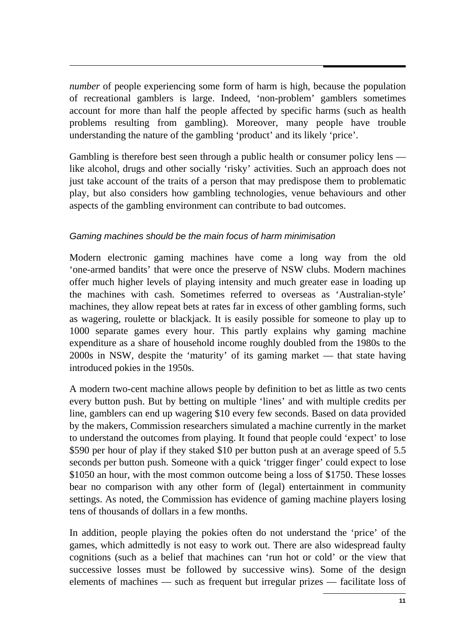*number* of people experiencing some form of harm is high, because the population of recreational gamblers is large. Indeed, 'non-problem' gamblers sometimes account for more than half the people affected by specific harms (such as health problems resulting from gambling). Moreover, many people have trouble understanding the nature of the gambling 'product' and its likely 'price'.

Gambling is therefore best seen through a public health or consumer policy lens like alcohol, drugs and other socially 'risky' activities. Such an approach does not just take account of the traits of a person that may predispose them to problematic play, but also considers how gambling technologies, venue behaviours and other aspects of the gambling environment can contribute to bad outcomes.

#### *Gaming machines should be the main focus of harm minimisation*

Modern electronic gaming machines have come a long way from the old 'one-armed bandits' that were once the preserve of NSW clubs. Modern machines offer much higher levels of playing intensity and much greater ease in loading up the machines with cash. Sometimes referred to overseas as 'Australian-style' machines, they allow repeat bets at rates far in excess of other gambling forms, such as wagering, roulette or blackjack. It is easily possible for someone to play up to 1000 separate games every hour. This partly explains why gaming machine expenditure as a share of household income roughly doubled from the 1980s to the 2000s in NSW, despite the 'maturity' of its gaming market — that state having introduced pokies in the 1950s.

A modern two-cent machine allows people by definition to bet as little as two cents every button push. But by betting on multiple 'lines' and with multiple credits per line, gamblers can end up wagering \$10 every few seconds. Based on data provided by the makers, Commission researchers simulated a machine currently in the market to understand the outcomes from playing. It found that people could 'expect' to lose \$590 per hour of play if they staked \$10 per button push at an average speed of 5.5 seconds per button push. Someone with a quick 'trigger finger' could expect to lose \$1050 an hour, with the most common outcome being a loss of \$1750. These losses bear no comparison with any other form of (legal) entertainment in community settings. As noted, the Commission has evidence of gaming machine players losing tens of thousands of dollars in a few months.

In addition, people playing the pokies often do not understand the 'price' of the games, which admittedly is not easy to work out. There are also widespread faulty cognitions (such as a belief that machines can 'run hot or cold' or the view that successive losses must be followed by successive wins). Some of the design elements of machines — such as frequent but irregular prizes — facilitate loss of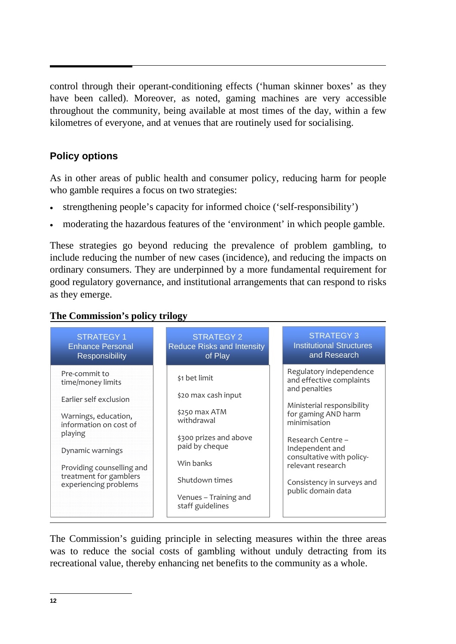control through their operant-conditioning effects ('human skinner boxes' as they have been called). Moreover, as noted, gaming machines are very accessible throughout the community, being available at most times of the day, within a few kilometres of everyone, and at venues that are routinely used for socialising.

# **Policy options**

As in other areas of public health and consumer policy, reducing harm for people who gamble requires a focus on two strategies:

- strengthening people's capacity for informed choice ('self-responsibility')
- moderating the hazardous features of the 'environment' in which people gamble.

These strategies go beyond reducing the prevalence of problem gambling, to include reducing the number of new cases (incidence), and reducing the impacts on ordinary consumers. They are underpinned by a more fundamental requirement for good regulatory governance, and institutional arrangements that can respond to risks as they emerge.

## **The Commission's policy trilogy**



The Commission's guiding principle in selecting measures within the three areas was to reduce the social costs of gambling without unduly detracting from its recreational value, thereby enhancing net benefits to the community as a whole.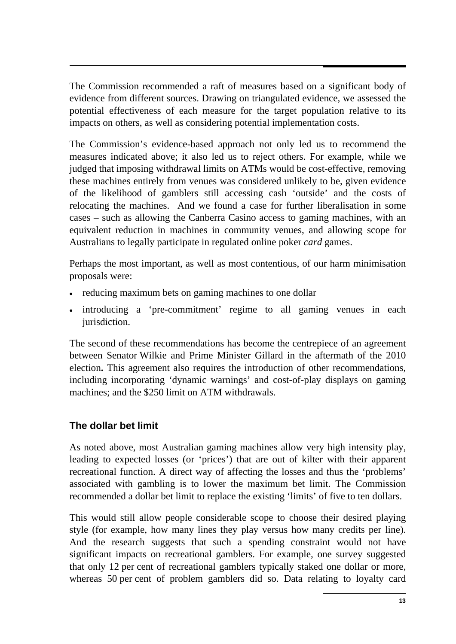The Commission recommended a raft of measures based on a significant body of evidence from different sources. Drawing on triangulated evidence, we assessed the potential effectiveness of each measure for the target population relative to its impacts on others, as well as considering potential implementation costs.

The Commission's evidence-based approach not only led us to recommend the measures indicated above; it also led us to reject others. For example, while we judged that imposing withdrawal limits on ATMs would be cost-effective, removing these machines entirely from venues was considered unlikely to be, given evidence of the likelihood of gamblers still accessing cash 'outside' and the costs of relocating the machines. And we found a case for further liberalisation in some cases – such as allowing the Canberra Casino access to gaming machines, with an equivalent reduction in machines in community venues, and allowing scope for Australians to legally participate in regulated online poker *card* games.

Perhaps the most important, as well as most contentious, of our harm minimisation proposals were:

- reducing maximum bets on gaming machines to one dollar
- introducing a 'pre-commitment' regime to all gaming venues in each jurisdiction.

The second of these recommendations has become the centrepiece of an agreement between Senator Wilkie and Prime Minister Gillard in the aftermath of the 2010 election**.** This agreement also requires the introduction of other recommendations, including incorporating 'dynamic warnings' and cost-of-play displays on gaming machines; and the \$250 limit on ATM withdrawals.

# **The dollar bet limit**

As noted above, most Australian gaming machines allow very high intensity play, leading to expected losses (or 'prices') that are out of kilter with their apparent recreational function. A direct way of affecting the losses and thus the 'problems' associated with gambling is to lower the maximum bet limit. The Commission recommended a dollar bet limit to replace the existing 'limits' of five to ten dollars.

This would still allow people considerable scope to choose their desired playing style (for example, how many lines they play versus how many credits per line). And the research suggests that such a spending constraint would not have significant impacts on recreational gamblers. For example, one survey suggested that only 12 per cent of recreational gamblers typically staked one dollar or more, whereas 50 per cent of problem gamblers did so. Data relating to loyalty card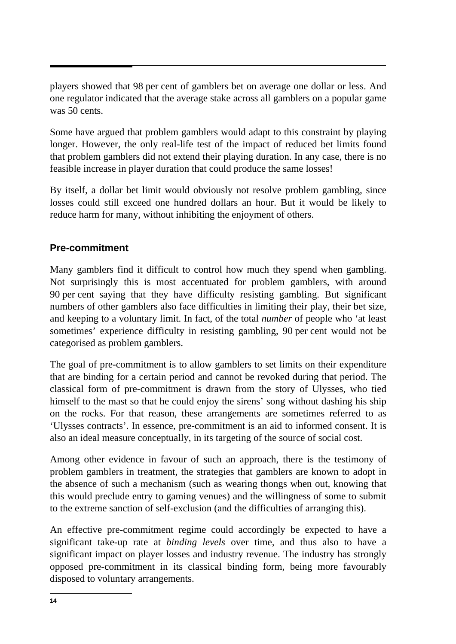players showed that 98 per cent of gamblers bet on average one dollar or less. And one regulator indicated that the average stake across all gamblers on a popular game was 50 cents.

Some have argued that problem gamblers would adapt to this constraint by playing longer. However, the only real-life test of the impact of reduced bet limits found that problem gamblers did not extend their playing duration. In any case, there is no feasible increase in player duration that could produce the same losses!

By itself, a dollar bet limit would obviously not resolve problem gambling, since losses could still exceed one hundred dollars an hour. But it would be likely to reduce harm for many, without inhibiting the enjoyment of others.

## **Pre-commitment**

Many gamblers find it difficult to control how much they spend when gambling. Not surprisingly this is most accentuated for problem gamblers, with around 90 per cent saying that they have difficulty resisting gambling. But significant numbers of other gamblers also face difficulties in limiting their play, their bet size, and keeping to a voluntary limit. In fact, of the total *number* of people who 'at least sometimes' experience difficulty in resisting gambling, 90 per cent would not be categorised as problem gamblers.

The goal of pre-commitment is to allow gamblers to set limits on their expenditure that are binding for a certain period and cannot be revoked during that period. The classical form of pre-commitment is drawn from the story of Ulysses, who tied himself to the mast so that he could enjoy the sirens' song without dashing his ship on the rocks. For that reason, these arrangements are sometimes referred to as 'Ulysses contracts'. In essence, pre-commitment is an aid to informed consent. It is also an ideal measure conceptually, in its targeting of the source of social cost.

Among other evidence in favour of such an approach, there is the testimony of problem gamblers in treatment, the strategies that gamblers are known to adopt in the absence of such a mechanism (such as wearing thongs when out, knowing that this would preclude entry to gaming venues) and the willingness of some to submit to the extreme sanction of self-exclusion (and the difficulties of arranging this).

An effective pre-commitment regime could accordingly be expected to have a significant take-up rate at *binding levels* over time, and thus also to have a significant impact on player losses and industry revenue. The industry has strongly opposed pre-commitment in its classical binding form, being more favourably disposed to voluntary arrangements.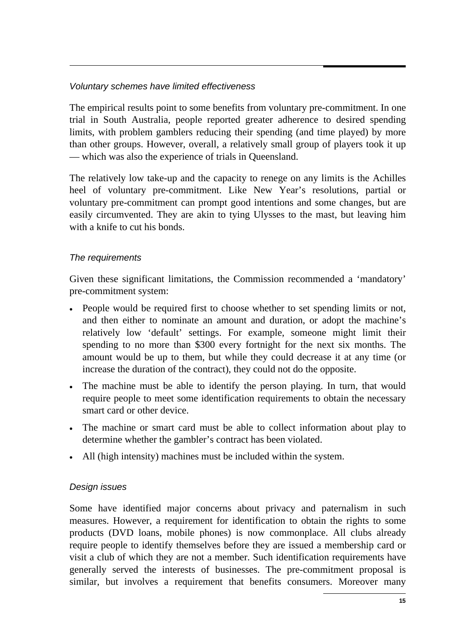## *Voluntary schemes have limited effectiveness*

The empirical results point to some benefits from voluntary pre-commitment. In one trial in South Australia, people reported greater adherence to desired spending limits, with problem gamblers reducing their spending (and time played) by more than other groups. However, overall, a relatively small group of players took it up — which was also the experience of trials in Queensland.

The relatively low take-up and the capacity to renege on any limits is the Achilles heel of voluntary pre-commitment. Like New Year's resolutions, partial or voluntary pre-commitment can prompt good intentions and some changes, but are easily circumvented. They are akin to tying Ulysses to the mast, but leaving him with a knife to cut his bonds.

#### *The requirements*

Given these significant limitations, the Commission recommended a 'mandatory' pre-commitment system:

- People would be required first to choose whether to set spending limits or not, and then either to nominate an amount and duration, or adopt the machine's relatively low 'default' settings. For example, someone might limit their spending to no more than \$300 every fortnight for the next six months. The amount would be up to them, but while they could decrease it at any time (or increase the duration of the contract), they could not do the opposite.
- The machine must be able to identify the person playing. In turn, that would require people to meet some identification requirements to obtain the necessary smart card or other device.
- The machine or smart card must be able to collect information about play to determine whether the gambler's contract has been violated.
- All (high intensity) machines must be included within the system.

#### *Design issues*

Some have identified major concerns about privacy and paternalism in such measures. However, a requirement for identification to obtain the rights to some products (DVD loans, mobile phones) is now commonplace. All clubs already require people to identify themselves before they are issued a membership card or visit a club of which they are not a member. Such identification requirements have generally served the interests of businesses. The pre-commitment proposal is similar, but involves a requirement that benefits consumers. Moreover many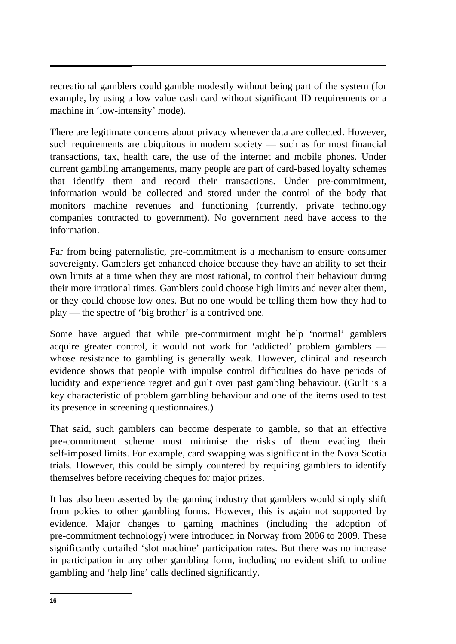recreational gamblers could gamble modestly without being part of the system (for example, by using a low value cash card without significant ID requirements or a machine in 'low-intensity' mode).

There are legitimate concerns about privacy whenever data are collected. However, such requirements are ubiquitous in modern society — such as for most financial transactions, tax, health care, the use of the internet and mobile phones. Under current gambling arrangements, many people are part of card-based loyalty schemes that identify them and record their transactions. Under pre-commitment, information would be collected and stored under the control of the body that monitors machine revenues and functioning (currently, private technology companies contracted to government). No government need have access to the information.

Far from being paternalistic, pre-commitment is a mechanism to ensure consumer sovereignty. Gamblers get enhanced choice because they have an ability to set their own limits at a time when they are most rational, to control their behaviour during their more irrational times. Gamblers could choose high limits and never alter them, or they could choose low ones. But no one would be telling them how they had to play — the spectre of 'big brother' is a contrived one.

Some have argued that while pre-commitment might help 'normal' gamblers acquire greater control, it would not work for 'addicted' problem gamblers whose resistance to gambling is generally weak. However, clinical and research evidence shows that people with impulse control difficulties do have periods of lucidity and experience regret and guilt over past gambling behaviour. (Guilt is a key characteristic of problem gambling behaviour and one of the items used to test its presence in screening questionnaires.)

That said, such gamblers can become desperate to gamble, so that an effective pre-commitment scheme must minimise the risks of them evading their self-imposed limits. For example, card swapping was significant in the Nova Scotia trials. However, this could be simply countered by requiring gamblers to identify themselves before receiving cheques for major prizes.

It has also been asserted by the gaming industry that gamblers would simply shift from pokies to other gambling forms. However, this is again not supported by evidence. Major changes to gaming machines (including the adoption of pre-commitment technology) were introduced in Norway from 2006 to 2009. These significantly curtailed 'slot machine' participation rates. But there was no increase in participation in any other gambling form, including no evident shift to online gambling and 'help line' calls declined significantly.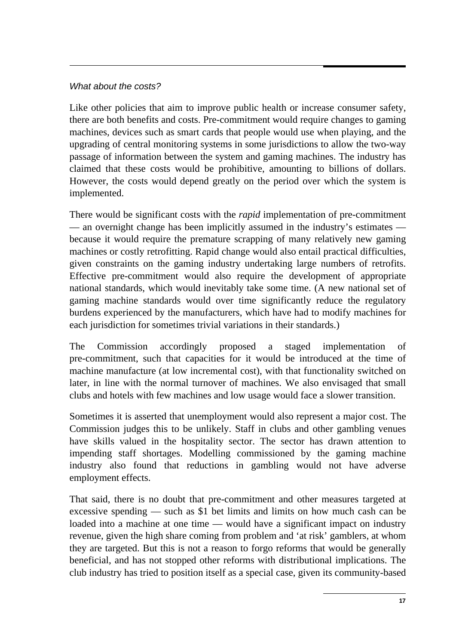#### *What about the costs?*

Like other policies that aim to improve public health or increase consumer safety, there are both benefits and costs. Pre-commitment would require changes to gaming machines, devices such as smart cards that people would use when playing, and the upgrading of central monitoring systems in some jurisdictions to allow the two-way passage of information between the system and gaming machines. The industry has claimed that these costs would be prohibitive, amounting to billions of dollars. However, the costs would depend greatly on the period over which the system is implemented.

There would be significant costs with the *rapid* implementation of pre-commitment — an overnight change has been implicitly assumed in the industry's estimates because it would require the premature scrapping of many relatively new gaming machines or costly retrofitting. Rapid change would also entail practical difficulties, given constraints on the gaming industry undertaking large numbers of retrofits. Effective pre-commitment would also require the development of appropriate national standards, which would inevitably take some time. (A new national set of gaming machine standards would over time significantly reduce the regulatory burdens experienced by the manufacturers, which have had to modify machines for each jurisdiction for sometimes trivial variations in their standards.)

The Commission accordingly proposed a staged implementation of pre-commitment, such that capacities for it would be introduced at the time of machine manufacture (at low incremental cost), with that functionality switched on later, in line with the normal turnover of machines. We also envisaged that small clubs and hotels with few machines and low usage would face a slower transition.

Sometimes it is asserted that unemployment would also represent a major cost. The Commission judges this to be unlikely. Staff in clubs and other gambling venues have skills valued in the hospitality sector. The sector has drawn attention to impending staff shortages. Modelling commissioned by the gaming machine industry also found that reductions in gambling would not have adverse employment effects.

That said, there is no doubt that pre-commitment and other measures targeted at excessive spending — such as \$1 bet limits and limits on how much cash can be loaded into a machine at one time — would have a significant impact on industry revenue, given the high share coming from problem and 'at risk' gamblers, at whom they are targeted. But this is not a reason to forgo reforms that would be generally beneficial, and has not stopped other reforms with distributional implications. The club industry has tried to position itself as a special case, given its community-based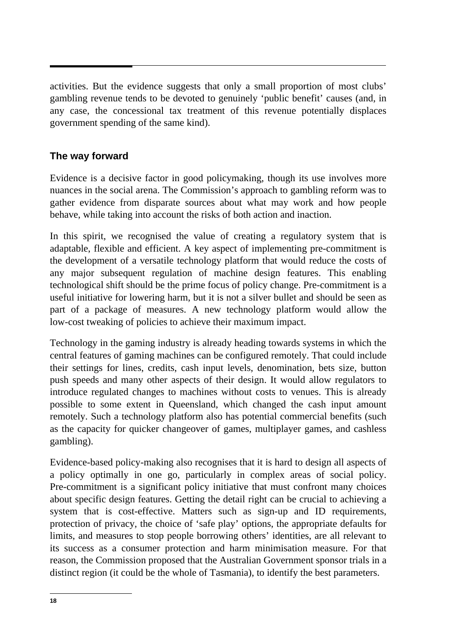activities. But the evidence suggests that only a small proportion of most clubs' gambling revenue tends to be devoted to genuinely 'public benefit' causes (and, in any case, the concessional tax treatment of this revenue potentially displaces government spending of the same kind).

## **The way forward**

Evidence is a decisive factor in good policymaking, though its use involves more nuances in the social arena. The Commission's approach to gambling reform was to gather evidence from disparate sources about what may work and how people behave, while taking into account the risks of both action and inaction.

In this spirit, we recognised the value of creating a regulatory system that is adaptable, flexible and efficient. A key aspect of implementing pre-commitment is the development of a versatile technology platform that would reduce the costs of any major subsequent regulation of machine design features. This enabling technological shift should be the prime focus of policy change. Pre-commitment is a useful initiative for lowering harm, but it is not a silver bullet and should be seen as part of a package of measures. A new technology platform would allow the low-cost tweaking of policies to achieve their maximum impact.

Technology in the gaming industry is already heading towards systems in which the central features of gaming machines can be configured remotely. That could include their settings for lines, credits, cash input levels, denomination, bets size, button push speeds and many other aspects of their design. It would allow regulators to introduce regulated changes to machines without costs to venues. This is already possible to some extent in Queensland, which changed the cash input amount remotely. Such a technology platform also has potential commercial benefits (such as the capacity for quicker changeover of games, multiplayer games, and cashless gambling).

Evidence-based policy-making also recognises that it is hard to design all aspects of a policy optimally in one go, particularly in complex areas of social policy. Pre-commitment is a significant policy initiative that must confront many choices about specific design features. Getting the detail right can be crucial to achieving a system that is cost-effective. Matters such as sign-up and ID requirements, protection of privacy, the choice of 'safe play' options, the appropriate defaults for limits, and measures to stop people borrowing others' identities, are all relevant to its success as a consumer protection and harm minimisation measure. For that reason, the Commission proposed that the Australian Government sponsor trials in a distinct region (it could be the whole of Tasmania), to identify the best parameters.